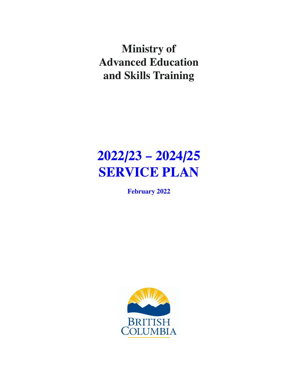**Ministry of Advanced Education and Skills Training**

# **2022/23 – 2024/25 SERVICE PLAN**

**February 2022**

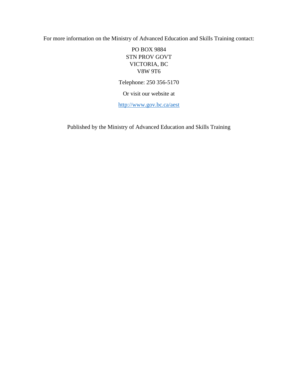For more information on the Ministry of Advanced Education and Skills Training contact:

PO BOX 9884 STN PROV GOVT VICTORIA, BC V8W 9T6

Telephone: 250 356-5170

Or visit our website at

<http://www.gov.bc.ca/aest>

Published by the Ministry of Advanced Education and Skills Training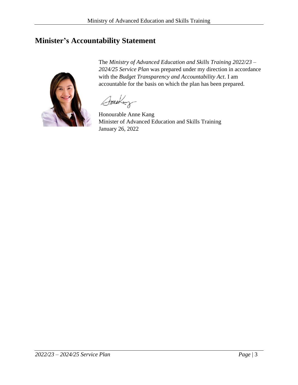# <span id="page-2-0"></span>**Minister's Accountability Statement**

The *Ministry of Advanced Education and Skills Training 2022/23 – 2024/25 Service Plan* was prepared under my direction in accordance with the *Budget Transparency and Accountability Act*. I am accountable for the basis on which the plan has been prepared.

Ameray

Honourable Anne Kang Minister of Advanced Education and Skills Training January 26, 2022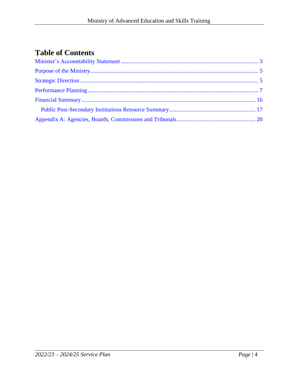# **Table of Contents**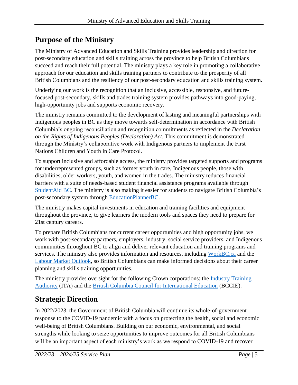# <span id="page-4-0"></span>**Purpose of the Ministry**

The Ministry of Advanced Education and Skills Training provides leadership and direction for post-secondary education and skills training across the province to help British Columbians succeed and reach their full potential. The ministry plays a key role in promoting a collaborative approach for our education and skills training partners to contribute to the prosperity of all British Columbians and the resiliency of our post-secondary education and skills training system.

Underlying our work is the recognition that an inclusive, accessible, responsive, and futurefocused post-secondary, skills and trades training system provides pathways into good-paying, high-opportunity jobs and supports economic recovery.

The ministry remains committed to the development of lasting and meaningful partnerships with Indigenous peoples in BC as they move towards self-determination in accordance with British Columbia's ongoing reconciliation and recognition commitments as reflected in the *Declaration on the Rights of Indigenous Peoples (Declaration) Act*. This commitment is demonstrated through the Ministry's collaborative work with Indigenous partners to implement the First Nations Children and Youth in Care Protocol.

To support inclusive and affordable access, the ministry provides targeted supports and programs for underrepresented groups, such as former youth in care, Indigenous people, those with disabilities, older workers, youth, and women in the trades. The ministry reduces financial barriers with a suite of needs-based student financial assistance programs available through [StudentAid BC.](https://studentaidbc.ca/) The ministry is also making it easier for students to navigate British Columbia's post-secondary system through [EducationPlannerBC.](https://www.educationplannerbc.ca/)

The ministry makes capital investments in education and training facilities and equipment throughout the province, to give learners the modern tools and spaces they need to prepare for 21st century careers.

To prepare British Columbians for current career opportunities and high opportunity jobs, we work with post-secondary partners, employers, industry, social service providers, and Indigenous communities throughout BC to align and deliver relevant education and training programs and services. The ministry also provides information and resources, including [WorkBC.ca](https://www.workbc.ca/) and the [Labour Market Outlook,](http://www.workbc.ca/labourmarketoutlook) so British Columbians can make informed decisions about their career planning and skills training opportunities.

The ministry provides oversight for the following Crown corporations: the [Industry Training](https://www.itabc.ca/)  [Authority](https://www.itabc.ca/) (ITA) and the [British Columbia Council for International Education](https://bccie.bc.ca/) (BCCIE).

# <span id="page-4-1"></span>**Strategic Direction**

In 2022/2023, the Government of British Columbia will continue its whole-of-government response to the COVID-19 pandemic with a focus on protecting the health, social and economic well-being of British Columbians. Building on our economic, environmental, and social strengths while looking to seize opportunities to improve outcomes for all British Columbians will be an important aspect of each ministry's work as we respond to COVID-19 and recover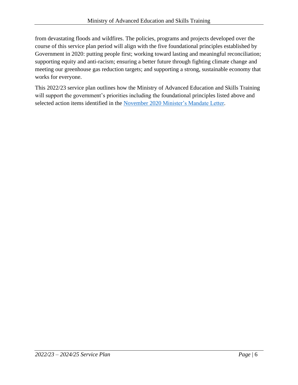from devastating floods and wildfires. The policies, programs and projects developed over the course of this service plan period will align with the five foundational principles established by Government in 2020: putting people first; working toward lasting and meaningful reconciliation; supporting equity and anti-racism; ensuring a better future through fighting climate change and meeting our greenhouse gas reduction targets; and supporting a strong, sustainable economy that works for everyone.

This 2022/23 service plan outlines how the Ministry of Advanced Education and Skills Training will support the government's priorities including the foundational principles listed above and selected action items identified in the November 2020 [Minister's Mandate Letter.](https://www2.gov.bc.ca/assets/gov/government/ministries-organizations/premier-cabinet-mlas/minister-letter/kang_mandate_2020.pdf)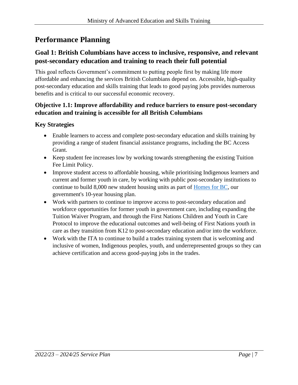# <span id="page-6-0"></span>**Performance Planning**

# **Goal 1: British Columbians have access to inclusive, responsive, and relevant post-secondary education and training to reach their full potential**

This goal reflects Government's commitment to putting people first by making life more affordable and enhancing the services British Columbians depend on. Accessible, high-quality post-secondary education and skills training that leads to good paying jobs provides numerous benefits and is critical to our successful economic recovery.

## **Objective 1.1: Improve affordability and reduce barriers to ensure post-secondary education and training is accessible for all British Columbians**

## **Key Strategies**

- Enable learners to access and complete post-secondary education and skills training by providing a range of student financial assistance programs, including the BC Access Grant.
- Keep student fee increases low by working towards strengthening the existing Tuition Fee Limit Policy.
- Improve student access to affordable housing, while prioritising Indigenous learners and current and former youth in care, by working with public post-secondary institutions to continue to build 8,000 new student housing units as part of [Homes for BC,](https://www.bcbudget.gov.bc.ca/2018/homesbc/2018_homes_for_bc.pdf) our government's 10-year housing plan.
- Work with partners to continue to improve access to post-secondary education and workforce opportunities for former youth in government care, including expanding the Tuition Waiver Program, and through the First Nations Children and Youth in Care Protocol to improve the educational outcomes and well-being of First Nations youth in care as they transition from K12 to post-secondary education and/or into the workforce.
- Work with the ITA to continue to build a trades training system that is welcoming and inclusive of women, Indigenous peoples, youth, and underrepresented groups so they can achieve certification and access good-paying jobs in the trades.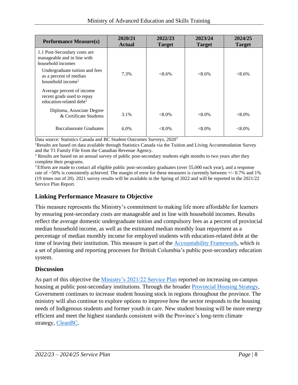| <b>Performance Measure(s)</b>                                                                  | 2020/21<br><b>Actual</b> | 2022/23<br><b>Target</b> | 2023/24<br><b>Target</b> | 2024/25<br><b>Target</b> |
|------------------------------------------------------------------------------------------------|--------------------------|--------------------------|--------------------------|--------------------------|
| 1.1 Post-Secondary costs are<br>manageable and in line with<br>household incomes               |                          |                          |                          |                          |
| Undergraduate tuition and fees<br>as a percent of median<br>household income <sup>1</sup>      | 7.3%                     | $< 8.6\%$                | $< 8.6\%$                | $< 8.6\%$                |
| Average percent of income<br>recent grads used to repay<br>education-related debt <sup>2</sup> |                          |                          |                          |                          |
| Diploma, Associate Degree<br>& Certificate Students                                            | 3.1%                     | $< 8.0\%$                | $<8.0\%$                 | $< 8.0\%$                |
| Baccalaureate Graduates                                                                        | 6.0%                     | $< 8.0\%$                | $<8.0\%$                 | $< 8.0\%$                |

Data source: Statistics Canada and BC Student Outcomes Surveys, 2020<sup>3</sup>

<sup>1</sup>Results are based on data available through Statistics Canada via the Tuition and Living Accommodation Survey and the T1 Family File from the Canadian Revenue Agency.

<sup>2</sup> Results are based on an annual survey of public post-secondary students eight months to two years after they complete their programs.

<sup>3</sup> Efforts are made to contact all eligible public post-secondary graduates (over 55,000 each year), and a response rate of  $\sim$ 50% is consistently achieved. The margin of error for these measures is currently between  $+/- 0.7\%$  and 1% (19 times out of 20). 2021 survey results will be available in the Spring of 2022 and will be reported in the 2021/22 Service Plan Report.

## **Linking Performance Measure to Objective**

This measure represents the Ministry's commitment to making life more affordable for learners by ensuring post-secondary costs are manageable and in line with household incomes. Results reflect the average domestic undergraduate tuition and compulsory fees as a percent of provincial median household income, as well as the estimated median monthly loan repayment as a percentage of median monthly income for employed students with education-related debt at the time of leaving their institution. This measure is part of the [Accountability Framework,](https://www2.gov.bc.ca/gov/content/education-training/post-secondary-education/institution-resources-administration/accountability-framework) which is a set of planning and reporting processes for British Columbia's public post-secondary education system.

#### **Discussion**

As part of this objective the [Ministry's 2021/22 Service Plan](https://www.bcbudget.gov.bc.ca/2021/sp/pdf/ministry/aest.pdf) reported on increasing on-campus housing at public post-secondary institutions. Through the broader [Provincial Housing Strategy,](https://www.bcbudget.gov.bc.ca/2018/homesbc/2018_homes_for_bc.pdf) Government continues to increase student housing stock in regions throughout the province. The ministry will also continue to explore options to improve how the sector responds to the housing needs of Indigenous students and former youth in care. New student housing will be more energy efficient and meet the highest standards consistent with the Province's long-term climate strategy, [CleanBC.](https://cleanbc.gov.bc.ca/)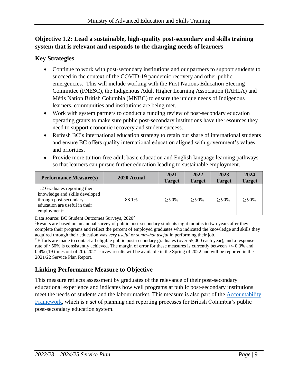# **Objective 1.2: Lead a sustainable, high-quality post-secondary and skills training system that is relevant and responds to the changing needs of learners**

## **Key Strategies**

- Continue to work with post-secondary institutions and our partners to support students to succeed in the context of the COVID-19 pandemic recovery and other public emergencies. This will include working with the First Nations Education Steering Committee (FNESC), the Indigenous Adult Higher Learning Association (IAHLA) and Métis Nation British Columbia (MNBC) to ensure the unique needs of Indigenous learners, communities and institutions are being met.
- Work with system partners to conduct a funding review of post-secondary education operating grants to make sure public post-secondary institutions have the resources they need to support economic recovery and student success.
- Refresh BC's international education strategy to retain our share of international students and ensure BC offers quality international education aligned with government's values and priorities.
- Provide more tuition-free adult basic education and English language learning pathways so that learners can pursue further education leading to sustainable employment.

| <b>Performance Measure(s)</b>                                                                                                                         | 2020 Actual | 2021<br><b>Target</b> | 2022<br><b>Target</b> | 2023<br><b>Target</b> | 2024<br><b>Target</b> |
|-------------------------------------------------------------------------------------------------------------------------------------------------------|-------------|-----------------------|-----------------------|-----------------------|-----------------------|
| 1.2 Graduates reporting their<br>knowledge and skills developed<br>through post-secondary<br>education are useful in their<br>employment <sup>1</sup> | 88.1%       | $>90\%$               | $>90\%$               | $>90\%$               | $> 90\%$              |

Data source: BC Student Outcomes Surveys, 2020<sup>2</sup>

<sup>1</sup>Results are based on an annual survey of public post-secondary students eight months to two years after they complete their programs and reflect the percent of employed graduates who indicated the knowledge and skills they acquired through their education was *very useful* or *somewhat useful* in performing their job.

<sup>2</sup> Efforts are made to contact all eligible public post-secondary graduates (over 55,000 each year), and a response rate of ~50% is consistently achieved. The margin of error for these measures is currently between +/- 0.3% and 0.4% (19 times out of 20). 2021 survey results will be available in the Spring of 2022 and will be reported in the 2021/22 Service Plan Report.

# **Linking Performance Measure to Objective**

This measure reflects assessment by graduates of the relevance of their post-secondary educational experience and indicates how well programs at public post-secondary institutions meet the needs of students and the labour market. This measure is also part of the [Accountability](https://www2.gov.bc.ca/gov/content/education-training/post-secondary-education/institution-resources-administration/accountability-framework)  [Framework,](https://www2.gov.bc.ca/gov/content/education-training/post-secondary-education/institution-resources-administration/accountability-framework) which is a set of planning and reporting processes for British Columbia's public post-secondary education system.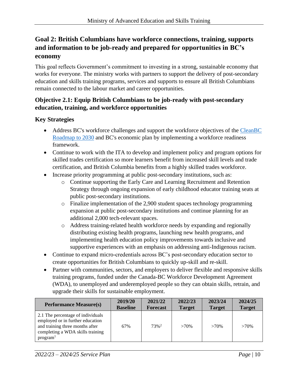# **Goal 2: British Columbians have workforce connections, training, supports and information to be job-ready and prepared for opportunities in BC's economy**

This goal reflects Government's commitment to investing in a strong, sustainable economy that works for everyone. The ministry works with partners to support the delivery of post-secondary education and skills training programs, services and supports to ensure all British Columbians remain connected to the labour market and career opportunities.

## **Objective 2.1: Equip British Columbians to be job-ready with post-secondary education, training, and workforce opportunities**

## **Key Strategies**

- Address BC's workforce challenges and support the workforce objectives of the CleanBC [Roadmap to 2030](https://cleanbc.gov.bc.ca/) and BC's economic plan by implementing a workforce readiness framework.
- Continue to work with the ITA to develop and implement policy and program options for skilled trades certification so more learners benefit from increased skill levels and trade certification, and British Columbia benefits from a highly skilled trades workforce.
- Increase priority programming at public post-secondary institutions, such as:
	- o Continue supporting the Early Care and Learning Recruitment and Retention Strategy through ongoing expansion of early childhood educator training seats at public post-secondary institutions.
	- o Finalize implementation of the 2,900 student spaces technology programming expansion at public post-secondary institutions and continue planning for an additional 2,000 tech-relevant spaces.
	- o Address training-related health workforce needs by expanding and regionally distributing existing health programs, launching new health programs, and implementing health education policy improvements towards inclusive and supportive experiences with an emphasis on addressing anti-Indigenous racism.
- Continue to expand micro-credentials across BC's post-secondary education sector to create opportunities for British Columbians to quickly up-skill and re-skill.
- Partner with communities, sectors, and employers to deliver flexible and responsive skills training programs, funded under the Canada-BC Workforce Development Agreement (WDA), to unemployed and underemployed people so they can obtain skills, retrain, and upgrade their skills for sustainable employment.

| <b>Performance Measure(s)</b>                                                                                                                                        | 2019/20         | 2021/22         | 2022/23       | 2023/24       | 2024/25       |
|----------------------------------------------------------------------------------------------------------------------------------------------------------------------|-----------------|-----------------|---------------|---------------|---------------|
|                                                                                                                                                                      | <b>Baseline</b> | <b>Forecast</b> | <b>Target</b> | <b>Target</b> | <b>Target</b> |
| 2.1 The percentage of individuals<br>employed or in further education<br>and training three months after<br>completing a WDA skills training<br>program <sup>1</sup> | 67%             | $73%^2$         | $>70\%$       | $>70\%$       | $>70\%$       |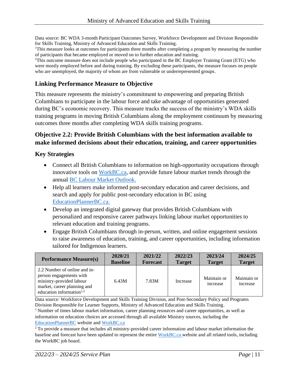Data source: BC WDA 3-month Participant Outcomes Survey, Workforce Development and Division Responsible for Skills Training, Ministry of Advanced Education and Skills Training.

<sup>1</sup>This measure looks at outcomes for participants three months after completing a program by measuring the number of participants that became employed or moved on to further education and training.

<sup>2</sup>This outcome measure does not include people who participated in the BC Employer Training Grant (ETG) who were mostly employed before and during training. By excluding these participants, the measure focuses on people who are unemployed, the majority of whom are from vulnerable or underrepresented groups.

## **Linking Performance Measure to Objective**

This measure represents the ministry's commitment to empowering and preparing British Columbians to participate in the labour force and take advantage of opportunities generated during BC's economic recovery. This measure tracks the success of the ministry's WDA skills training programs in moving British Columbians along the employment continuum by measuring outcomes three months after completing WDA skills training programs.

#### **Objective 2.2: Provide British Columbians with the best information available to make informed decisions about their education, training, and career opportunities**

#### **Key Strategies**

- Connect all British Columbians to information on high-opportunity occupations through innovative tools on [WorkBC.ca,](https://www.workbc.ca/) and provide future labour market trends through the annual [BC Labour Market Outlook.](https://www.workbc.ca/Labour-Market-Industry/Labour-Market-Outlook.aspx)
- Help all learners make informed post-secondary education and career decisions, and search and apply for public post-secondary education in BC using [EducationPlannerBC.ca.](https://www.educationplannerbc.ca/)
- Develop an integrated digital gateway that provides British Columbians with personalized and responsive career pathways linking labour market opportunities to relevant education and training programs.
- Engage British Columbians through in-person, written, and online engagement sessions to raise awareness of education, training, and career opportunities, including information tailored for Indigenous learners.

| <b>Performance Measure(s)</b>                                                                                                                     | 2020/21         | 2021/22         | 2022/23       | 2023/24                 | 2024/25                 |
|---------------------------------------------------------------------------------------------------------------------------------------------------|-----------------|-----------------|---------------|-------------------------|-------------------------|
|                                                                                                                                                   | <b>Baseline</b> | <b>Forecast</b> | <b>Target</b> | <b>Target</b>           | <b>Target</b>           |
| 2.2 Number of online and in-<br>person engagements with<br>ministry-provided labour<br>market, career planning and<br>education information $1,2$ | 6.43M           | 7.83M           | Increase      | Maintain or<br>increase | Maintain or<br>increase |

Data source: Workforce Development and Skills Training Division, and Post-Secondary Policy and Programs Division Responsible for Learner Supports, Ministry of Advanced Education and Skills Training.

<sup>1</sup> Number of times labour market information, career planning resources and career opportunities, as well as information on education choices are accessed through all available Ministry sources, including the [EducationPlannerBC](https://www.educationplannerbc.ca/) website and [WorkBC.ca](https://www.workbc.ca/)

<sup>2</sup> To provide a measure that includes all ministry-provided career information and labour market information the baseline and forecast have been updated to represent the entir[e WorkBC.ca](https://www.workbc.ca/) website and all related tools, including the WorkBC job board.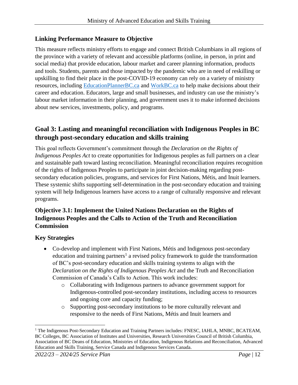#### **Linking Performance Measure to Objective**

This measure reflects ministry efforts to engage and connect British Columbians in all regions of the province with a variety of relevant and accessible platforms (online, in person, in print and social media) that provide education, labour market and career planning information, products and tools. Students, parents and those impacted by the pandemic who are in need of reskilling or upskilling to find their place in the post-COVID-19 economy can rely on a variety of ministry resources, including [EducationPlannerBC.ca](https://www.educationplannerbc.ca/) and [WorkBC.ca](https://www.workbc.ca/) to help make decisions about their career and education. Educators, large and small businesses, and industry can use the ministry's labour market information in their planning, and government uses it to make informed decisions about new services, investments, policy, and programs.

# **Goal 3: Lasting and meaningful reconciliation with Indigenous Peoples in BC through post-secondary education and skills training**

This goal reflects Government's commitment through the *Declaration on the Rights of Indigenous Peoples Act* to create opportunities for Indigenous peoples as full partners on a clear and sustainable path toward lasting reconciliation. Meaningful reconciliation requires recognition of the rights of Indigenous Peoples to participate in joint decision-making regarding postsecondary education policies, programs, and services for First Nations, Métis, and Inuit learners. These systemic shifts supporting self-determination in the post-secondary education and training system will help Indigenous learners have access to a range of culturally responsive and relevant programs.

## **Objective 3.1: Implement the United Nations Declaration on the Rights of Indigenous Peoples and the Calls to Action of the Truth and Reconciliation Commission**

## **Key Strategies**

- Co-develop and implement with First Nations, Métis and Indigenous post-secondary education and training partners<sup>1</sup> a revised policy framework to guide the transformation of BC's post-secondary education and skills training systems to align with the *Declaration on the Rights of Indigenous Peoples Act* and the Truth and Reconciliation Commission of Canada's Calls to Action. This work includes:
	- o Collaborating with Indigenous partners to advance government support for Indigenous-controlled post-secondary institutions, including access to resources and ongoing core and capacity funding;
	- o Supporting post-secondary institutions to be more culturally relevant and responsive to the needs of First Nations, Métis and Inuit learners and

<sup>&</sup>lt;sup>1</sup> The Indigenous Post-Secondary Education and Training Partners includes: FNESC, IAHLA, MNBC, BCATEAM, BC Colleges, BC Association of Institutes and Universities, Research Universities Council of British Columbia, Association of BC Deans of Education, Ministries of Education, Indigenous Relations and Reconciliation, Advanced Education and Skills Training, Service Canada and Indigenous Services Canada.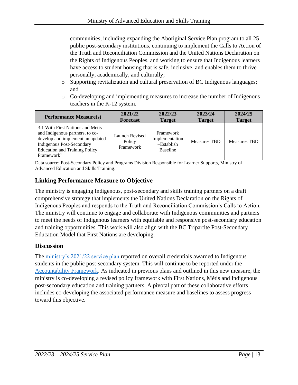communities, including expanding the Aboriginal Service Plan program to all 25 public post-secondary institutions, continuing to implement the Calls to Action of the Truth and Reconciliation Commission and the United Nations Declaration on the Rights of Indigenous Peoples, and working to ensure that Indigenous learners have access to student housing that is safe, inclusive, and enables them to thrive personally, academically, and culturally;

- o Supporting revitalization and cultural preservation of BC Indigenous languages; and
- o Co-developing and implementing measures to increase the number of Indigenous teachers in the K-12 system.

| <b>Performance Measure(s)</b>                                                                                                                                                                                 | 2021/22                               | 2022/23                                                        | 2023/24             | 2024/25             |
|---------------------------------------------------------------------------------------------------------------------------------------------------------------------------------------------------------------|---------------------------------------|----------------------------------------------------------------|---------------------|---------------------|
|                                                                                                                                                                                                               | <b>Forecast</b>                       | <b>Target</b>                                                  | <b>Target</b>       | <b>Target</b>       |
| 3.1 With First Nations and Metis<br>and Indigenous partners, to co-<br>develop and implement an updated<br><b>Indigenous Post-Secondary</b><br><b>Education and Training Policy</b><br>Framework <sup>1</sup> | Launch Revised<br>Policy<br>Framework | Framework<br>Implementation<br>$-Establish$<br><b>Baseline</b> | <b>Measures TBD</b> | <b>Measures TBD</b> |

Data source: Post-Secondary Policy and Programs Division Responsible for Learner Supports, Ministry of Advanced Education and Skills Training.

## **Linking Performance Measure to Objective**

The ministry is engaging Indigenous, post-secondary and skills training partners on a draft comprehensive strategy that implements the United Nations Declaration on the Rights of Indigenous Peoples and responds to the Truth and Reconciliation Commission's Calls to Action. The ministry will continue to engage and collaborate with Indigenous communities and partners to meet the needs of Indigenous learners with equitable and responsive post-secondary education and training opportunities. This work will also align with the BC Tripartite Post-Secondary Education Model that First Nations are developing.

#### **Discussion**

The [ministry's 2021/22 service plan](https://www.bcbudget.gov.bc.ca/2021/sp/pdf/ministry/aest.pdf) reported on overall credentials awarded to Indigenous students in the public post-secondary system. This will continue to be reported under the [Accountability Framework.](https://www2.gov.bc.ca/gov/content/education-training/post-secondary-education/institution-resources-administration/accountability-framework) As indicated in previous plans and outlined in this new measure, the ministry is co-developing a revised policy framework with First Nations, Métis and Indigenous post-secondary education and training partners. A pivotal part of these collaborative efforts includes co-developing the associated performance measure and baselines to assess progress toward this objective.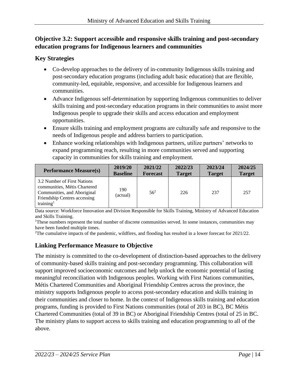## **Objective 3.2: Support accessible and responsive skills training and post-secondary education programs for Indigenous learners and communities**

## **Key Strategies**

- Co-develop approaches to the delivery of in-community Indigenous skills training and post-secondary education programs (including adult basic education) that are flexible, community-led, equitable, responsive, and accessible for Indigenous learners and communities.
- Advance Indigenous self-determination by supporting Indigenous communities to deliver skills training and post-secondary education programs in their communities to assist more Indigenous people to upgrade their skills and access education and employment opportunities.
- Ensure skills training and employment programs are culturally safe and responsive to the needs of Indigenous people and address barriers to participation.
- Enhance working relationships with Indigenous partners, utilize partners' networks to expand programming reach, resulting in more communities served and supporting capacity in communities for skills training and employment.

| <b>Performance Measure(s)</b>                                                                                                                       | 2019/20         | 2021/22         | 2022/23       | 2023/24       | 2024/25       |
|-----------------------------------------------------------------------------------------------------------------------------------------------------|-----------------|-----------------|---------------|---------------|---------------|
|                                                                                                                                                     | <b>Baseline</b> | <b>Forecast</b> | <b>Target</b> | <b>Target</b> | <b>Target</b> |
| 3.2 Number of First Nations<br>communities, Métis Chartered<br>Communities, and Aboriginal<br>Friendship Centres accessing<br>training <sup>1</sup> | 190<br>(actual) | $56^{2}$        | 226           | 237           | 257           |

Data source: Workforce Innovation and Division Responsible for Skills Training, Ministry of Advanced Education and Skills Training.

<sup>1</sup>These numbers represent the total number of discrete communities served. In some instances, communities may have been funded multiple times.

<sup>2</sup>The cumulative impacts of the pandemic, wildfires, and flooding has resulted in a lower forecast for 2021/22.

# **Linking Performance Measure to Objective**

The ministry is committed to the co-development of distinction-based approaches to the delivery of community-based skills training and post-secondary programming. This collaboration will support improved socioeconomic outcomes and help unlock the economic potential of lasting meaningful reconciliation with Indigenous peoples. Working with First Nations communities, Métis Chartered Communities and Aboriginal Friendship Centres across the province, the ministry supports Indigenous people to access post-secondary education and skills training in their communities and closer to home. In the context of Indigenous skills training and education programs, funding is provided to First Nations communities (total of 203 in BC), BC Métis Chartered Communities (total of 39 in BC) or Aboriginal Friendship Centres (total of 25 in BC. The ministry plans to support access to skills training and education programming to all of the above.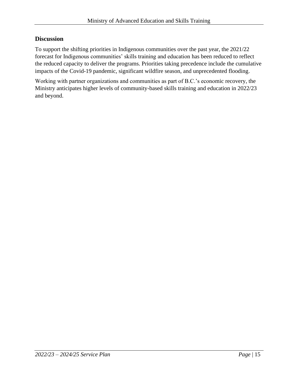#### **Discussion**

To support the shifting priorities in Indigenous communities over the past year, the 2021/22 forecast for Indigenous communities' skills training and education has been reduced to reflect the reduced capacity to deliver the programs. Priorities taking precedence include the cumulative impacts of the Covid-19 pandemic, significant wildfire season, and unprecedented flooding.

Working with partner organizations and communities as part of B.C.'s economic recovery, the Ministry anticipates higher levels of community-based skills training and education in 2022/23 and beyond.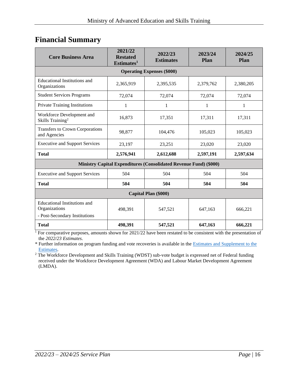# <span id="page-15-0"></span>**Financial Summary**

| <b>Core Business Area</b>                                                             | 2021/22<br><b>Restated</b><br>Estimates <sup>1</sup> | 2022/23<br><b>Estimates</b>                                              | 2023/24<br>Plan | 2024/25<br><b>Plan</b> |  |  |  |
|---------------------------------------------------------------------------------------|------------------------------------------------------|--------------------------------------------------------------------------|-----------------|------------------------|--|--|--|
|                                                                                       |                                                      | <b>Operating Expenses (\$000)</b>                                        |                 |                        |  |  |  |
| Educational Institutions and<br>Organizations                                         | 2,365,919                                            | 2,395,535                                                                | 2,379,762       | 2,380,205              |  |  |  |
| <b>Student Services Programs</b>                                                      | 72,074                                               | 72,074                                                                   | 72,074          | 72,074                 |  |  |  |
| <b>Private Training Institutions</b>                                                  | 1                                                    | 1                                                                        | $\mathbf{1}$    | 1                      |  |  |  |
| Workforce Development and<br>Skills Training <sup>2</sup>                             | 16,873                                               | 17,351                                                                   | 17,311          | 17,311                 |  |  |  |
| Transfers to Crown Corporations<br>and Agencies                                       | 98,877                                               | 104,476                                                                  | 105,023         | 105,023                |  |  |  |
| <b>Executive and Support Services</b>                                                 | 23,197                                               | 23,251                                                                   | 23,020          | 23,020                 |  |  |  |
| <b>Total</b>                                                                          | 2,576,941                                            | 2,612,688                                                                | 2,597,191       | 2,597,634              |  |  |  |
|                                                                                       |                                                      | <b>Ministry Capital Expenditures (Consolidated Revenue Fund) (\$000)</b> |                 |                        |  |  |  |
| <b>Executive and Support Services</b>                                                 | 504                                                  | 504                                                                      | 504             | 504                    |  |  |  |
| <b>Total</b>                                                                          | 504                                                  | 504                                                                      | 504             | 504                    |  |  |  |
| Capital Plan (\$000)                                                                  |                                                      |                                                                          |                 |                        |  |  |  |
| <b>Educational Institutions and</b><br>Organizations<br>- Post-Secondary Institutions | 498,391                                              | 547,521                                                                  | 647,163         | 666,221                |  |  |  |
| <b>Total</b>                                                                          | 498,391                                              | 547,521                                                                  | 647,163         | 666,221                |  |  |  |

<sup>1</sup> For comparative purposes, amounts shown for 2021/22 have been restated to be consistent with the presentation of the *2022/23 Estimates*.

\* Further information on program funding and vote recoveries is available in the [Estimates and Supplement to the](http://www.bcbudget.gov.bc.ca/)  [Estimates.](http://www.bcbudget.gov.bc.ca/)

<sup>2</sup> The Workforce Development and Skills Training (WDST) sub-vote budget is expressed net of Federal funding received under the Workforce Development Agreement (WDA) and Labour Market Development Agreement (LMDA).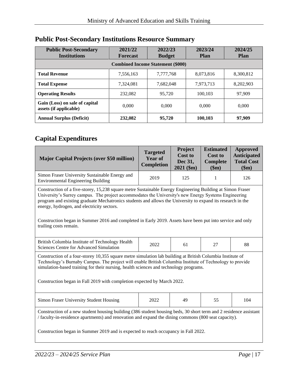| <b>Public Post-Secondary</b><br><b>Institutions</b>      | 2021/22<br><b>Forecast</b> | 2022/23<br><b>Budget</b> | 2023/24<br><b>Plan</b> | 2024/25<br><b>Plan</b> |  |  |  |  |
|----------------------------------------------------------|----------------------------|--------------------------|------------------------|------------------------|--|--|--|--|
| <b>Combined Income Statement (\$000)</b>                 |                            |                          |                        |                        |  |  |  |  |
| <b>Total Revenue</b>                                     | 7,556,163                  | 7,777,768                | 8,073,816              | 8,300,812              |  |  |  |  |
| <b>Total Expense</b>                                     | 7,324,081                  | 7,682,048                | 7,973,713              | 8,202,903              |  |  |  |  |
| <b>Operating Results</b>                                 | 232,082                    | 95.720                   | 100.103                | 97.909                 |  |  |  |  |
| Gain (Loss) on sale of capital<br>assets (if applicable) | 0.000                      | 0.000                    | 0.000                  | 0.000                  |  |  |  |  |
| <b>Annual Surplus (Deficit)</b>                          | 232,082                    | 95,720                   | 100,103                | 97,909                 |  |  |  |  |

# <span id="page-16-0"></span>**Public Post-Secondary Institutions Resource Summary**

# **Capital Expenditures**

| <b>Major Capital Projects (over \$50 million)</b>                                                                                                                                                                                                                                                                                                                                                                                                                                                                      | <b>Targeted</b><br><b>Year of</b><br>Completion | Project<br><b>Cost to</b><br>Dec 31,<br>$2021$ (\$m) | <b>Estimated</b><br><b>Cost to</b><br>Complete<br>\$m) | <b>Approved</b><br><b>Anticipated</b><br><b>Total Cost</b><br>\$m) |  |  |
|------------------------------------------------------------------------------------------------------------------------------------------------------------------------------------------------------------------------------------------------------------------------------------------------------------------------------------------------------------------------------------------------------------------------------------------------------------------------------------------------------------------------|-------------------------------------------------|------------------------------------------------------|--------------------------------------------------------|--------------------------------------------------------------------|--|--|
| Simon Fraser University Sustainable Energy and<br><b>Environmental Engineering Building</b>                                                                                                                                                                                                                                                                                                                                                                                                                            | 2019                                            | 125                                                  | 1                                                      | 126                                                                |  |  |
| Construction of a five-storey, 15,238 square metre Sustainable Energy Engineering Building at Simon Fraser<br>University's Surrey campus. The project accommodates the University's new Energy Systems Engineering<br>program and existing graduate Mechatronics students and allows the University to expand its research in the<br>energy, hydrogen, and electricity sectors.<br>Construction began in Summer 2016 and completed in Early 2019. Assets have been put into service and only<br>trailing costs remain. |                                                 |                                                      |                                                        |                                                                    |  |  |
| British Columbia Institute of Technology Health<br>Sciences Centre for Advanced Simulation                                                                                                                                                                                                                                                                                                                                                                                                                             | 2022                                            | 61                                                   | 27                                                     | 88                                                                 |  |  |
| Construction of a four-storey 10,355 square metre simulation lab building at British Columbia Institute of<br>Technology's Burnaby Campus. The project will enable British Columbia Institute of Technology to provide<br>simulation-based training for their nursing, health sciences and technology programs.<br>Construction began in Fall 2019 with completion expected by March 2022.                                                                                                                             |                                                 |                                                      |                                                        |                                                                    |  |  |
| Simon Fraser University Student Housing                                                                                                                                                                                                                                                                                                                                                                                                                                                                                | 2022                                            | 49                                                   | 55                                                     | 104                                                                |  |  |
| Construction of a new student housing building (386 student housing beds, 30 short term and 2 residence assistant<br>/ faculty-in-residence apartments) and renovation and expand the dining commons (800 seat capacity).<br>Construction began in Summer 2019 and is expected to reach occupancy in Fall 2022.                                                                                                                                                                                                        |                                                 |                                                      |                                                        |                                                                    |  |  |
|                                                                                                                                                                                                                                                                                                                                                                                                                                                                                                                        |                                                 |                                                      |                                                        |                                                                    |  |  |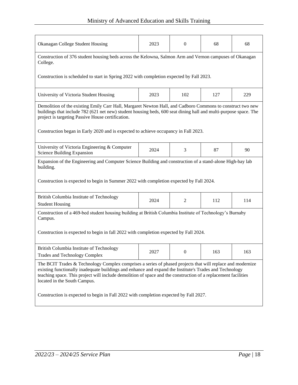| Okanagan College Student Housing                                                                                                                                                                                                                                                                                                                                        | 2023 | $\boldsymbol{0}$ | 68  | 68  |  |  |
|-------------------------------------------------------------------------------------------------------------------------------------------------------------------------------------------------------------------------------------------------------------------------------------------------------------------------------------------------------------------------|------|------------------|-----|-----|--|--|
| Construction of 376 student housing beds across the Kelowna, Salmon Arm and Vernon campuses of Okanagan<br>College.                                                                                                                                                                                                                                                     |      |                  |     |     |  |  |
| Construction is scheduled to start in Spring 2022 with completion expected by Fall 2023.                                                                                                                                                                                                                                                                                |      |                  |     |     |  |  |
| University of Victoria Student Housing                                                                                                                                                                                                                                                                                                                                  | 2023 | 102              | 127 | 229 |  |  |
| Demolition of the existing Emily Carr Hall, Margaret Newton Hall, and Cadboro Commons to construct two new<br>buildings that include 782 (621 net new) student housing beds, 600 seat dining hall and multi-purpose space. The<br>project is targeting Passive House certification.                                                                                     |      |                  |     |     |  |  |
| Construction began in Early 2020 and is expected to achieve occupancy in Fall 2023.                                                                                                                                                                                                                                                                                     |      |                  |     |     |  |  |
| University of Victoria Engineering & Computer<br>Science Building Expansion                                                                                                                                                                                                                                                                                             | 2024 | 3                | 87  | 90  |  |  |
| Expansion of the Engineering and Computer Science Building and construction of a stand-alone High-bay lab<br>building.                                                                                                                                                                                                                                                  |      |                  |     |     |  |  |
| Construction is expected to begin in Summer 2022 with completion expected by Fall 2024.                                                                                                                                                                                                                                                                                 |      |                  |     |     |  |  |
| British Columbia Institute of Technology<br><b>Student Housing</b>                                                                                                                                                                                                                                                                                                      | 2024 | $\overline{c}$   | 112 | 114 |  |  |
| Construction of a 469-bed student housing building at British Columbia Institute of Technology's Burnaby<br>Campus.                                                                                                                                                                                                                                                     |      |                  |     |     |  |  |
| Construction is expected to begin in fall 2022 with completion expected by Fall 2024.                                                                                                                                                                                                                                                                                   |      |                  |     |     |  |  |
| British Columbia Institute of Technology<br><b>Trades and Technology Complex</b>                                                                                                                                                                                                                                                                                        | 2027 | 0                | 163 | 163 |  |  |
| The BCIT Trades & Technology Complex comprises a series of phased projects that will replace and modernize<br>existing functionally inadequate buildings and enhance and expand the Institute's Trades and Technology<br>teaching space. This project will include demolition of space and the construction of a replacement facilities<br>located in the South Campus. |      |                  |     |     |  |  |
| Construction is expected to begin in Fall 2022 with completion expected by Fall 2027.                                                                                                                                                                                                                                                                                   |      |                  |     |     |  |  |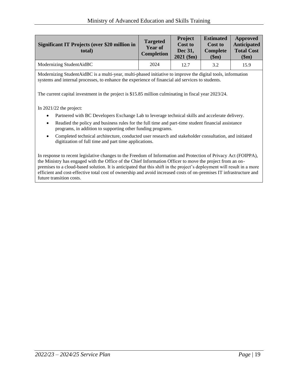| <b>Significant IT Projects (over \$20 million in</b><br>total) | <b>Targeted</b><br><b>Year of</b><br><b>Completion</b> | <b>Project</b><br><b>Cost to</b><br><b>Dec 31.</b><br>$2021$ (\$m) | <b>Estimated</b><br><b>Cost to</b><br><b>Complete</b><br>\$m) | Approved<br><b>Anticipated</b><br><b>Total Cost</b><br>\$m\$ |
|----------------------------------------------------------------|--------------------------------------------------------|--------------------------------------------------------------------|---------------------------------------------------------------|--------------------------------------------------------------|
| Modernizing StudentAidBC                                       | 2024                                                   | 12.7                                                               | 3.2                                                           | 15.9                                                         |

Modernizing StudentAidBC is a multi-year, multi-phased initiative to improve the digital tools, information systems and internal processes, to enhance the experience of financial aid services to students.

The current capital investment in the project is \$15.85 million culminating in fiscal year 2023/24.

In 2021/22 the project:

- Partnered with BC Developers Exchange Lab to leverage technical skills and accelerate delivery.
- Readied the policy and business rules for the full time and part-time student financial assistance programs, in addition to supporting other funding programs.
- Completed technical architecture, conducted user research and stakeholder consultation, and initiated digitization of full time and part time applications.

In response to recent legislative changes to the Freedom of Information and Protection of Privacy Act (FOIPPA), the Ministry has engaged with the Office of the Chief Information Officer to move the project from an onpremises to a cloud-based solution. It is anticipated that this shift in the project's deployment will result in a more efficient and cost-effective total cost of ownership and avoid increased costs of on-premises IT infrastructure and future transition costs.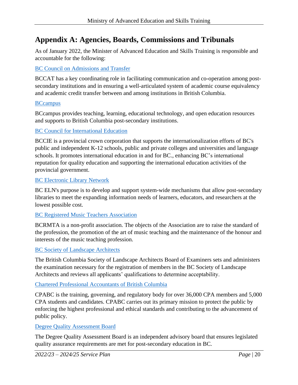# <span id="page-19-0"></span>**Appendix A: Agencies, Boards, Commissions and Tribunals**

As of January 2022, the Minister of Advanced Education and Skills Training is responsible and accountable for the following:

#### [BC Council on Admissions and Transfer](http://www.bccat.ca/)

BCCAT has a key coordinating role in facilitating communication and co-operation among postsecondary institutions and in ensuring a well-articulated system of academic course equivalency and academic credit transfer between and among institutions in British Columbia.

#### **[BCcampus](https://bccampus.ca/)**

BCcampus provides teaching, learning, educational technology, and open education resources and supports to British Columbia post-secondary institutions.

#### [BC Council for International Education](http://bccie.bc.ca/)

BCCIE is a provincial crown corporation that supports the internationalization efforts of BC's public and independent K-12 schools, public and private colleges and universities and language schools. It promotes international education in and for BC., enhancing BC's international reputation for quality education and supporting the international education activities of the provincial government.

#### [BC Electronic Library Network](https://bceln.ca/)

BC ELN's purpose is to develop and support system-wide mechanisms that allow post-secondary libraries to meet the expanding information needs of learners, educators, and researchers at the lowest possible cost.

#### [BC Registered Music Teachers Association](https://bcrmta.bc.ca/)

BCRMTA is a non-profit association. The objects of the Association are to raise the standard of the profession, the promotion of the art of music teaching and the maintenance of the honour and interests of the music teaching profession.

#### [BC Society of Landscape Architects](https://www.bcsla.org/)

The British Columbia Society of Landscape Architects Board of Examiners sets and administers the examination necessary for the registration of members in the BC Society of Landscape Architects and reviews all applicants' qualifications to determine acceptability.

#### [Chartered Professional Accountants of British Columbia](https://www.bccpa.ca/)

CPABC is the training, governing, and regulatory body for over 36,000 CPA members and 5,000 CPA students and candidates. CPABC carries out its primary mission to protect the public by enforcing the highest professional and ethical standards and contributing to the advancement of public policy.

#### [Degree Quality Assessment Board](https://www2.gov.bc.ca/gov/content/education-training/post-secondary-education/institution-resources-administration/degree-authorization/degree-quality-assessment-board)

The Degree Quality Assessment Board is an independent advisory board that ensures legislated quality assurance requirements are met for post-secondary education in BC.